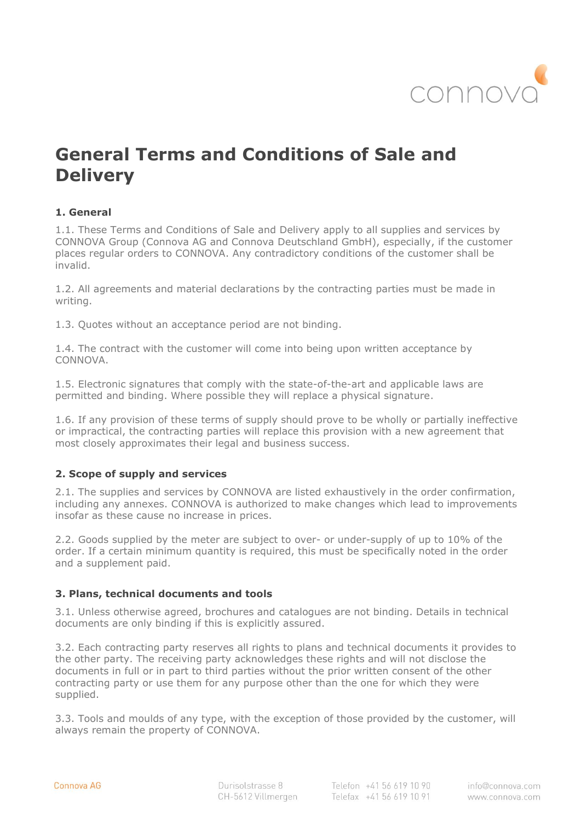

# **General Terms and Conditions of Sale and Delivery**

# **1. General**

1.1. These Terms and Conditions of Sale and Delivery apply to all supplies and services by CONNOVA Group (Connova AG and Connova Deutschland GmbH), especially, if the customer places regular orders to CONNOVA. Any contradictory conditions of the customer shall be invalid.

1.2. All agreements and material declarations by the contracting parties must be made in writing.

1.3. Quotes without an acceptance period are not binding.

1.4. The contract with the customer will come into being upon written acceptance by CONNOVA.

1.5. Electronic signatures that comply with the state-of-the-art and applicable laws are permitted and binding. Where possible they will replace a physical signature.

1.6. If any provision of these terms of supply should prove to be wholly or partially ineffective or impractical, the contracting parties will replace this provision with a new agreement that most closely approximates their legal and business success.

# **2. Scope of supply and services**

2.1. The supplies and services by CONNOVA are listed exhaustively in the order confirmation, including any annexes. CONNOVA is authorized to make changes which lead to improvements insofar as these cause no increase in prices.

2.2. Goods supplied by the meter are subject to over- or under-supply of up to 10% of the order. If a certain minimum quantity is required, this must be specifically noted in the order and a supplement paid.

# **3. Plans, technical documents and tools**

3.1. Unless otherwise agreed, brochures and catalogues are not binding. Details in technical documents are only binding if this is explicitly assured.

3.2. Each contracting party reserves all rights to plans and technical documents it provides to the other party. The receiving party acknowledges these rights and will not disclose the documents in full or in part to third parties without the prior written consent of the other contracting party or use them for any purpose other than the one for which they were supplied.

3.3. Tools and moulds of any type, with the exception of those provided by the customer, will always remain the property of CONNOVA.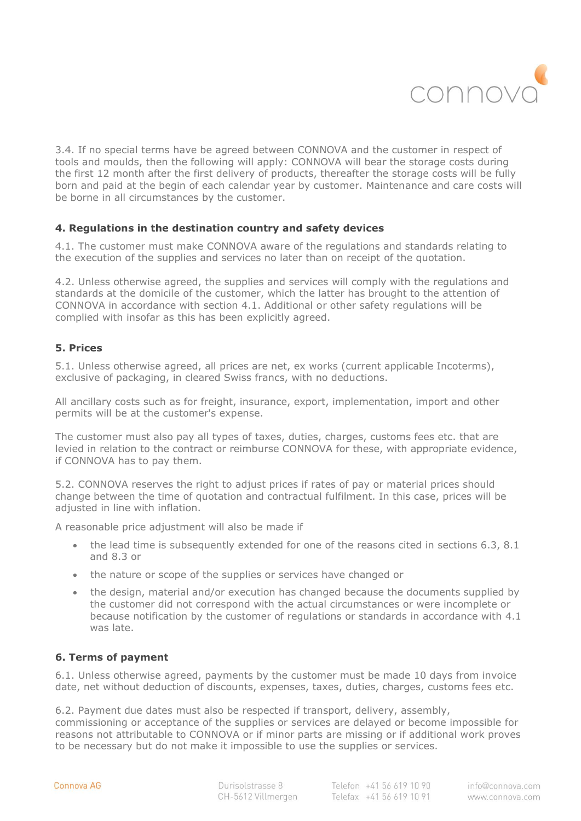

3.4. If no special terms have be agreed between CONNOVA and the customer in respect of tools and moulds, then the following will apply: CONNOVA will bear the storage costs during the first 12 month after the first delivery of products, thereafter the storage costs will be fully born and paid at the begin of each calendar year by customer. Maintenance and care costs will be borne in all circumstances by the customer.

# **4. Regulations in the destination country and safety devices**

4.1. The customer must make CONNOVA aware of the regulations and standards relating to the execution of the supplies and services no later than on receipt of the quotation.

4.2. Unless otherwise agreed, the supplies and services will comply with the regulations and standards at the domicile of the customer, which the latter has brought to the attention of CONNOVA in accordance with section 4.1. Additional or other safety regulations will be complied with insofar as this has been explicitly agreed.

# **5. Prices**

5.1. Unless otherwise agreed, all prices are net, ex works (current applicable Incoterms), exclusive of packaging, in cleared Swiss francs, with no deductions.

All ancillary costs such as for freight, insurance, export, implementation, import and other permits will be at the customer's expense.

The customer must also pay all types of taxes, duties, charges, customs fees etc. that are levied in relation to the contract or reimburse CONNOVA for these, with appropriate evidence, if CONNOVA has to pay them.

5.2. CONNOVA reserves the right to adjust prices if rates of pay or material prices should change between the time of quotation and contractual fulfilment. In this case, prices will be adjusted in line with inflation.

A reasonable price adjustment will also be made if

- the lead time is subsequently extended for one of the reasons cited in sections 6.3, 8.1 and 8.3 or
- the nature or scope of the supplies or services have changed or
- the design, material and/or execution has changed because the documents supplied by the customer did not correspond with the actual circumstances or were incomplete or because notification by the customer of regulations or standards in accordance with 4.1 was late.

# **6. Terms of payment**

6.1. Unless otherwise agreed, payments by the customer must be made 10 days from invoice date, net without deduction of discounts, expenses, taxes, duties, charges, customs fees etc.

6.2. Payment due dates must also be respected if transport, delivery, assembly,

commissioning or acceptance of the supplies or services are delayed or become impossible for reasons not attributable to CONNOVA or if minor parts are missing or if additional work proves to be necessary but do not make it impossible to use the supplies or services.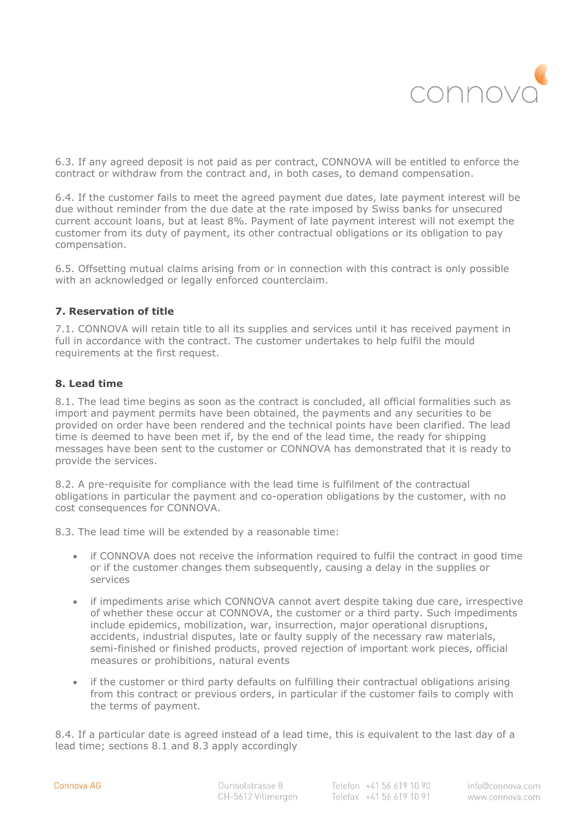

6.3. If any agreed deposit is not paid as per contract, CONNOVA will be entitled to enforce the contract or withdraw from the contract and, in both cases, to demand compensation.

6.4. If the customer fails to meet the agreed payment due dates, late payment interest will be due without reminder from the due date at the rate imposed by Swiss banks for unsecured current account loans, but at least 8%. Payment of late payment interest will not exempt the customer from its duty of payment, its other contractual obligations or its obligation to pay compensation.

6.5. Offsetting mutual claims arising from or in connection with this contract is only possible with an acknowledged or legally enforced counterclaim.

# **7. Reservation of title**

7.1. CONNOVA will retain title to all its supplies and services until it has received payment in full in accordance with the contract. The customer undertakes to help fulfil the mould requirements at the first request.

# **8. Lead time**

8.1. The lead time begins as soon as the contract is concluded, all official formalities such as import and payment permits have been obtained, the payments and any securities to be provided on order have been rendered and the technical points have been clarified. The lead time is deemed to have been met if, by the end of the lead time, the ready for shipping messages have been sent to the customer or CONNOVA has demonstrated that it is ready to provide the services.

8.2. A pre-requisite for compliance with the lead time is fulfilment of the contractual obligations in particular the payment and co-operation obligations by the customer, with no cost consequences for CONNOVA.

8.3. The lead time will be extended by a reasonable time:

- if CONNOVA does not receive the information required to fulfil the contract in good time or if the customer changes them subsequently, causing a delay in the supplies or services
- if impediments arise which CONNOVA cannot avert despite taking due care, irrespective of whether these occur at CONNOVA, the customer or a third party. Such impediments include epidemics, mobilization, war, insurrection, major operational disruptions, accidents, industrial disputes, late or faulty supply of the necessary raw materials, semi-finished or finished products, proved rejection of important work pieces, official measures or prohibitions, natural events
- if the customer or third party defaults on fulfilling their contractual obligations arising from this contract or previous orders, in particular if the customer fails to comply with the terms of payment.

8.4. If a particular date is agreed instead of a lead time, this is equivalent to the last day of a lead time; sections 8.1 and 8.3 apply accordingly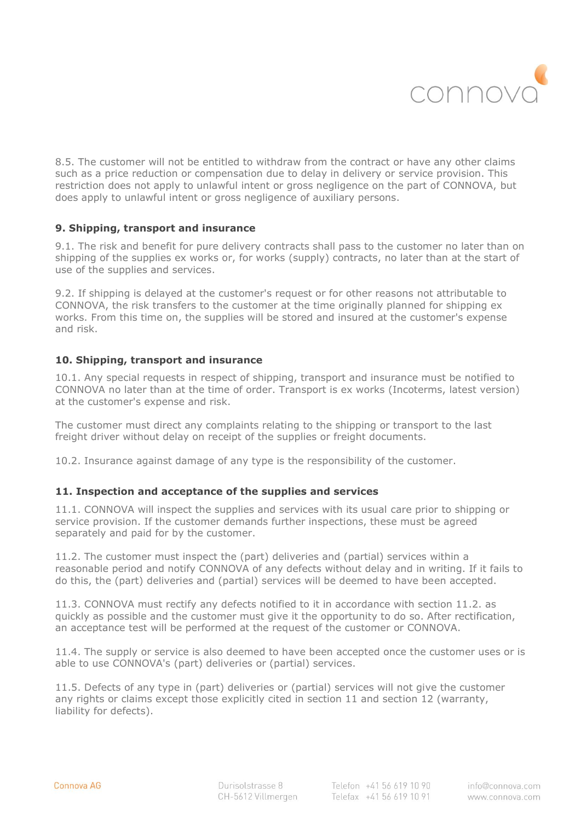

8.5. The customer will not be entitled to withdraw from the contract or have any other claims such as a price reduction or compensation due to delay in delivery or service provision. This restriction does not apply to unlawful intent or gross negligence on the part of CONNOVA, but does apply to unlawful intent or gross negligence of auxiliary persons.

# **9. Shipping, transport and insurance**

9.1. The risk and benefit for pure delivery contracts shall pass to the customer no later than on shipping of the supplies ex works or, for works (supply) contracts, no later than at the start of use of the supplies and services.

9.2. If shipping is delayed at the customer's request or for other reasons not attributable to CONNOVA, the risk transfers to the customer at the time originally planned for shipping ex works. From this time on, the supplies will be stored and insured at the customer's expense and risk.

# **10. Shipping, transport and insurance**

10.1. Any special requests in respect of shipping, transport and insurance must be notified to CONNOVA no later than at the time of order. Transport is ex works (Incoterms, latest version) at the customer's expense and risk.

The customer must direct any complaints relating to the shipping or transport to the last freight driver without delay on receipt of the supplies or freight documents.

10.2. Insurance against damage of any type is the responsibility of the customer.

# **11. Inspection and acceptance of the supplies and services**

11.1. CONNOVA will inspect the supplies and services with its usual care prior to shipping or service provision. If the customer demands further inspections, these must be agreed separately and paid for by the customer.

11.2. The customer must inspect the (part) deliveries and (partial) services within a reasonable period and notify CONNOVA of any defects without delay and in writing. If it fails to do this, the (part) deliveries and (partial) services will be deemed to have been accepted.

11.3. CONNOVA must rectify any defects notified to it in accordance with section 11.2. as quickly as possible and the customer must give it the opportunity to do so. After rectification, an acceptance test will be performed at the request of the customer or CONNOVA.

11.4. The supply or service is also deemed to have been accepted once the customer uses or is able to use CONNOVA's (part) deliveries or (partial) services.

11.5. Defects of any type in (part) deliveries or (partial) services will not give the customer any rights or claims except those explicitly cited in section 11 and section 12 (warranty, liability for defects).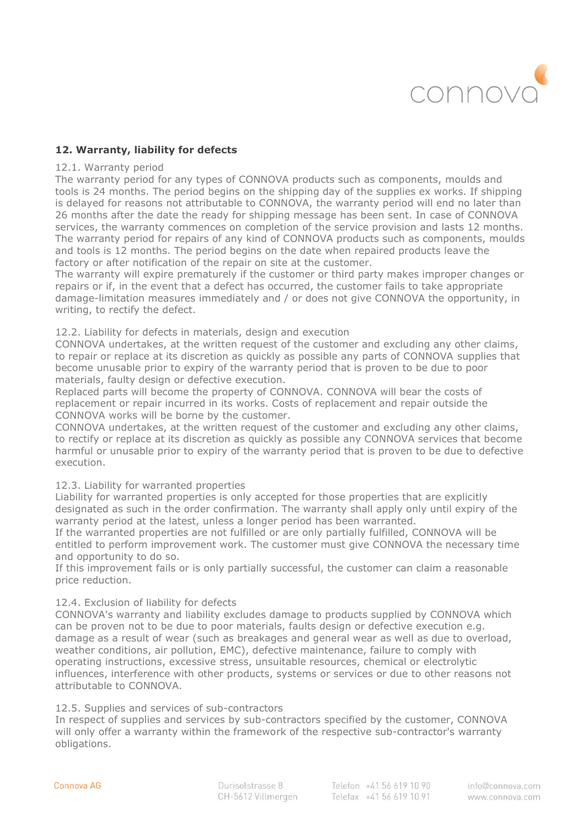

# **12. Warranty, liability for defects**

#### 12.1. Warranty period

The warranty period for any types of CONNOVA products such as components, moulds and tools is 24 months. The period begins on the shipping day of the supplies ex works. If shipping is delayed for reasons not attributable to CONNOVA, the warranty period will end no later than 26 months after the date the ready for shipping message has been sent. In case of CONNOVA services, the warranty commences on completion of the service provision and lasts 12 months. The warranty period for repairs of any kind of CONNOVA products such as components, moulds and tools is 12 months. The period begins on the date when repaired products leave the factory or after notification of the repair on site at the customer.

The warranty will expire prematurely if the customer or third party makes improper changes or repairs or if, in the event that a defect has occurred, the customer fails to take appropriate damage-limitation measures immediately and / or does not give CONNOVA the opportunity, in writing, to rectify the defect.

#### 12.2. Liability for defects in materials, design and execution

CONNOVA undertakes, at the written request of the customer and excluding any other claims, to repair or replace at its discretion as quickly as possible any parts of CONNOVA supplies that become unusable prior to expiry of the warranty period that is proven to be due to poor materials, faulty design or defective execution.

Replaced parts will become the property of CONNOVA. CONNOVA will bear the costs of replacement or repair incurred in its works. Costs of replacement and repair outside the CONNOVA works will be borne by the customer.

CONNOVA undertakes, at the written request of the customer and excluding any other claims, to rectify or replace at its discretion as quickly as possible any CONNOVA services that become harmful or unusable prior to expiry of the warranty period that is proven to be due to defective execution.

# 12.3. Liability for warranted properties

Liability for warranted properties is only accepted for those properties that are explicitly designated as such in the order confirmation. The warranty shall apply only until expiry of the warranty period at the latest, unless a longer period has been warranted.

If the warranted properties are not fulfilled or are only partially fulfilled, CONNOVA will be entitled to perform improvement work. The customer must give CONNOVA the necessary time and opportunity to do so.

If this improvement fails or is only partially successful, the customer can claim a reasonable price reduction.

# 12.4. Exclusion of liability for defects

CONNOVA's warranty and liability excludes damage to products supplied by CONNOVA which can be proven not to be due to poor materials, faults design or defective execution e.g. damage as a result of wear (such as breakages and general wear as well as due to overload, weather conditions, air pollution, EMC), defective maintenance, failure to comply with operating instructions, excessive stress, unsuitable resources, chemical or electrolytic influences, interference with other products, systems or services or due to other reasons not attributable to CONNOVA.

#### 12.5. Supplies and services of sub-contractors

In respect of supplies and services by sub-contractors specified by the customer, CONNOVA will only offer a warranty within the framework of the respective sub-contractor's warranty obligations.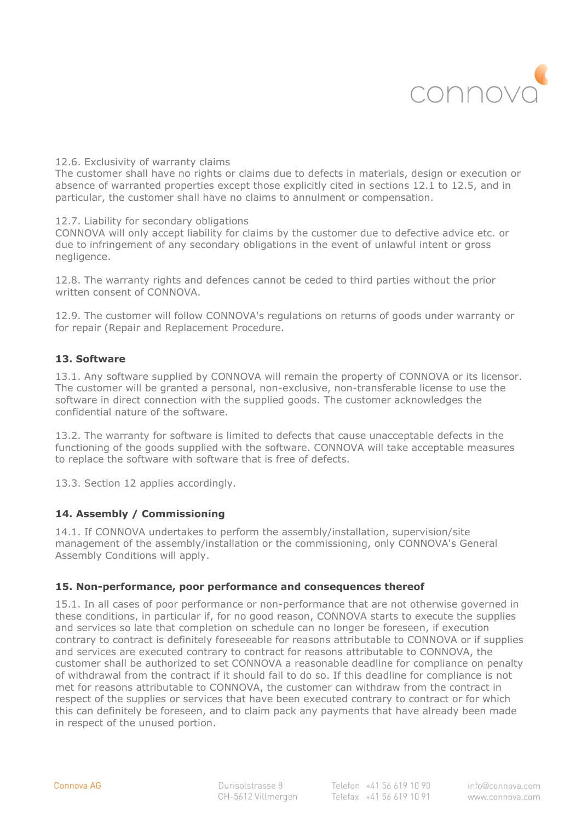

12.6. Exclusivity of warranty claims

The customer shall have no rights or claims due to defects in materials, design or execution or absence of warranted properties except those explicitly cited in sections 12.1 to 12.5, and in particular, the customer shall have no claims to annulment or compensation.

12.7. Liability for secondary obligations

CONNOVA will only accept liability for claims by the customer due to defective advice etc. or due to infringement of any secondary obligations in the event of unlawful intent or gross negligence.

12.8. The warranty rights and defences cannot be ceded to third parties without the prior written consent of CONNOVA.

12.9. The customer will follow CONNOVA's regulations on returns of goods under warranty or for repair (Repair and Replacement Procedure.

# **13. Software**

13.1. Any software supplied by CONNOVA will remain the property of CONNOVA or its licensor. The customer will be granted a personal, non-exclusive, non-transferable license to use the software in direct connection with the supplied goods. The customer acknowledges the confidential nature of the software.

13.2. The warranty for software is limited to defects that cause unacceptable defects in the functioning of the goods supplied with the software. CONNOVA will take acceptable measures to replace the software with software that is free of defects.

13.3. Section 12 applies accordingly.

# **14. Assembly / Commissioning**

14.1. If CONNOVA undertakes to perform the assembly/installation, supervision/site management of the assembly/installation or the commissioning, only CONNOVA's General Assembly Conditions will apply.

# **15. Non-performance, poor performance and consequences thereof**

15.1. In all cases of poor performance or non-performance that are not otherwise governed in these conditions, in particular if, for no good reason, CONNOVA starts to execute the supplies and services so late that completion on schedule can no longer be foreseen, if execution contrary to contract is definitely foreseeable for reasons attributable to CONNOVA or if supplies and services are executed contrary to contract for reasons attributable to CONNOVA, the customer shall be authorized to set CONNOVA a reasonable deadline for compliance on penalty of withdrawal from the contract if it should fail to do so. If this deadline for compliance is not met for reasons attributable to CONNOVA, the customer can withdraw from the contract in respect of the supplies or services that have been executed contrary to contract or for which this can definitely be foreseen, and to claim pack any payments that have already been made in respect of the unused portion.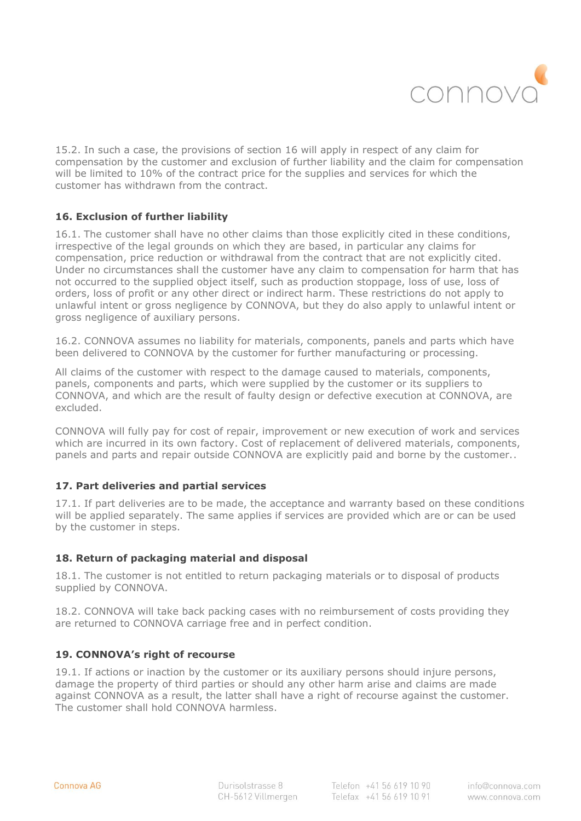

15.2. In such a case, the provisions of section 16 will apply in respect of any claim for compensation by the customer and exclusion of further liability and the claim for compensation will be limited to 10% of the contract price for the supplies and services for which the customer has withdrawn from the contract.

# **16. Exclusion of further liability**

16.1. The customer shall have no other claims than those explicitly cited in these conditions, irrespective of the legal grounds on which they are based, in particular any claims for compensation, price reduction or withdrawal from the contract that are not explicitly cited. Under no circumstances shall the customer have any claim to compensation for harm that has not occurred to the supplied object itself, such as production stoppage, loss of use, loss of orders, loss of profit or any other direct or indirect harm. These restrictions do not apply to unlawful intent or gross negligence by CONNOVA, but they do also apply to unlawful intent or gross negligence of auxiliary persons.

16.2. CONNOVA assumes no liability for materials, components, panels and parts which have been delivered to CONNOVA by the customer for further manufacturing or processing.

All claims of the customer with respect to the damage caused to materials, components, panels, components and parts, which were supplied by the customer or its suppliers to CONNOVA, and which are the result of faulty design or defective execution at CONNOVA, are excluded.

CONNOVA will fully pay for cost of repair, improvement or new execution of work and services which are incurred in its own factory. Cost of replacement of delivered materials, components, panels and parts and repair outside CONNOVA are explicitly paid and borne by the customer..

# **17. Part deliveries and partial services**

17.1. If part deliveries are to be made, the acceptance and warranty based on these conditions will be applied separately. The same applies if services are provided which are or can be used by the customer in steps.

# **18. Return of packaging material and disposal**

18.1. The customer is not entitled to return packaging materials or to disposal of products supplied by CONNOVA.

18.2. CONNOVA will take back packing cases with no reimbursement of costs providing they are returned to CONNOVA carriage free and in perfect condition.

# **19. CONNOVA's right of recourse**

19.1. If actions or inaction by the customer or its auxiliary persons should injure persons, damage the property of third parties or should any other harm arise and claims are made against CONNOVA as a result, the latter shall have a right of recourse against the customer. The customer shall hold CONNOVA harmless.